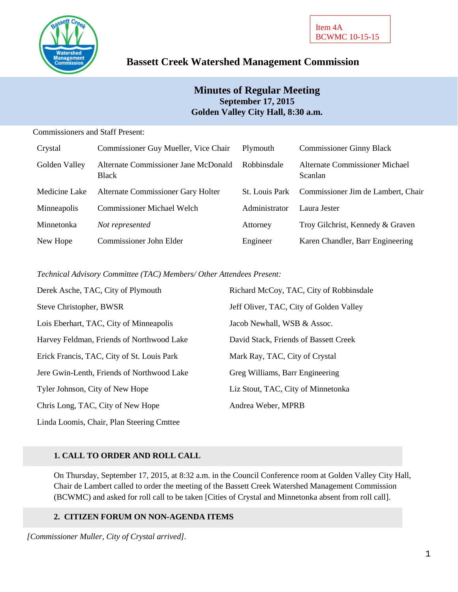

# **Bassett Creek Watershed Management Commission**

# **Minutes of Regular Meeting September 17, 2015 Golden Valley City Hall, 8:30 a.m.**

### Commissioners and Staff Present:

| Crystal       | Commissioner Guy Mueller, Vice Chair                 | Plymouth              | <b>Commissioner Ginny Black</b>           |
|---------------|------------------------------------------------------|-----------------------|-------------------------------------------|
| Golden Valley | Alternate Commissioner Jane McDonald<br><b>Black</b> | Robbinsdale           | Alternate Commissioner Michael<br>Scanlan |
| Medicine Lake | Alternate Commissioner Gary Holter                   | <b>St.</b> Louis Park | Commissioner Jim de Lambert, Chair        |
| Minneapolis   | <b>Commissioner Michael Welch</b>                    | Administrator         | Laura Jester                              |
| Minnetonka    | Not represented                                      | Attorney              | Troy Gilchrist, Kennedy & Graven          |
| New Hope      | Commissioner John Elder                              | Engineer              | Karen Chandler, Barr Engineering          |

### *Technical Advisory Committee (TAC) Members/ Other Attendees Present:*

| Derek Asche, TAC, City of Plymouth         | Richard McCoy, TAC, City of Robbinsdale |
|--------------------------------------------|-----------------------------------------|
| Steve Christopher, BWSR                    | Jeff Oliver, TAC, City of Golden Valley |
| Lois Eberhart, TAC, City of Minneapolis    | Jacob Newhall, WSB & Assoc.             |
| Harvey Feldman, Friends of Northwood Lake  | David Stack, Friends of Bassett Creek   |
| Erick Francis, TAC, City of St. Louis Park | Mark Ray, TAC, City of Crystal          |
| Jere Gwin-Lenth, Friends of Northwood Lake | Greg Williams, Barr Engineering         |
| Tyler Johnson, City of New Hope            | Liz Stout, TAC, City of Minnetonka      |
| Chris Long, TAC, City of New Hope          | Andrea Weber, MPRB                      |
| Linda Loomis, Chair, Plan Steering Cmttee  |                                         |

### **1. CALL TO ORDER AND ROLL CALL**

On Thursday, September 17, 2015, at 8:32 a.m. in the Council Conference room at Golden Valley City Hall, Chair de Lambert called to order the meeting of the Bassett Creek Watershed Management Commission (BCWMC) and asked for roll call to be taken [Cities of Crystal and Minnetonka absent from roll call].

### **2. CITIZEN FORUM ON NON-AGENDA ITEMS**

*[Commissioner Muller, City of Crystal arrived].*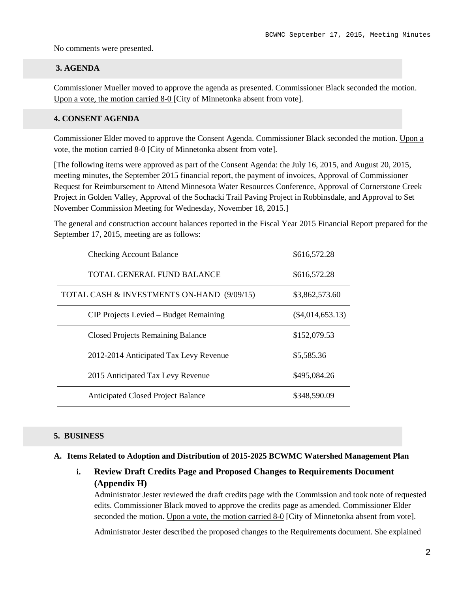No comments were presented.

#### **3. AGENDA**

Commissioner Mueller moved to approve the agenda as presented. Commissioner Black seconded the motion. Upon a vote, the motion carried 8-0 [City of Minnetonka absent from vote].

#### **4. CONSENT AGENDA**

Commissioner Elder moved to approve the Consent Agenda. Commissioner Black seconded the motion. Upon a vote, the motion carried 8-0 [City of Minnetonka absent from vote].

[The following items were approved as part of the Consent Agenda: the July 16, 2015, and August 20, 2015, meeting minutes, the September 2015 financial report, the payment of invoices, Approval of Commissioner Request for Reimbursement to Attend Minnesota Water Resources Conference, Approval of Cornerstone Creek Project in Golden Valley, Approval of the Sochacki Trail Paving Project in Robbinsdale, and Approval to Set November Commission Meeting for Wednesday, November 18, 2015.]

The general and construction account balances reported in the Fiscal Year 2015 Financial Report prepared for the September 17, 2015, meeting are as follows:

| <b>Checking Account Balance</b>            | \$616,572.28       |
|--------------------------------------------|--------------------|
| TOTAL GENERAL FUND BALANCE                 | \$616,572.28       |
| TOTAL CASH & INVESTMENTS ON-HAND (9/09/15) | \$3,862,573.60     |
| CIP Projects Levied – Budget Remaining     | $(\$4,014,653.13)$ |
| <b>Closed Projects Remaining Balance</b>   | \$152,079.53       |
| 2012-2014 Anticipated Tax Levy Revenue     | \$5,585.36         |
| 2015 Anticipated Tax Levy Revenue          | \$495,084.26       |
| <b>Anticipated Closed Project Balance</b>  | \$348,590.09       |

#### **5. BUSINESS**

#### **A. Items Related to Adoption and Distribution of 2015-2025 BCWMC Watershed Management Plan**

**i. Review Draft Credits Page and Proposed Changes to Requirements Document (Appendix H)**

Administrator Jester reviewed the draft credits page with the Commission and took note of requested edits. Commissioner Black moved to approve the credits page as amended. Commissioner Elder seconded the motion. Upon a vote, the motion carried 8-0 [City of Minnetonka absent from vote].

Administrator Jester described the proposed changes to the Requirements document. She explained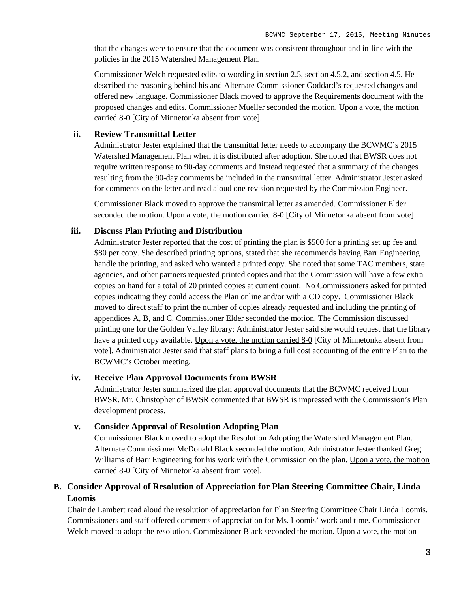that the changes were to ensure that the document was consistent throughout and in-line with the policies in the 2015 Watershed Management Plan.

Commissioner Welch requested edits to wording in section 2.5, section 4.5.2, and section 4.5. He described the reasoning behind his and Alternate Commissioner Goddard's requested changes and offered new language. Commissioner Black moved to approve the Requirements document with the proposed changes and edits. Commissioner Mueller seconded the motion. Upon a vote, the motion carried 8-0 [City of Minnetonka absent from vote].

#### **ii. Review Transmittal Letter**

Administrator Jester explained that the transmittal letter needs to accompany the BCWMC's 2015 Watershed Management Plan when it is distributed after adoption. She noted that BWSR does not require written response to 90-day comments and instead requested that a summary of the changes resulting from the 90-day comments be included in the transmittal letter. Administrator Jester asked for comments on the letter and read aloud one revision requested by the Commission Engineer.

Commissioner Black moved to approve the transmittal letter as amended. Commissioner Elder seconded the motion. Upon a vote, the motion carried 8-0 [City of Minnetonka absent from vote].

#### **iii. Discuss Plan Printing and Distribution**

Administrator Jester reported that the cost of printing the plan is \$500 for a printing set up fee and \$80 per copy. She described printing options, stated that she recommends having Barr Engineering handle the printing, and asked who wanted a printed copy. She noted that some TAC members, state agencies, and other partners requested printed copies and that the Commission will have a few extra copies on hand for a total of 20 printed copies at current count. No Commissioners asked for printed copies indicating they could access the Plan online and/or with a CD copy. Commissioner Black moved to direct staff to print the number of copies already requested and including the printing of appendices A, B, and C. Commissioner Elder seconded the motion. The Commission discussed printing one for the Golden Valley library; Administrator Jester said she would request that the library have a printed copy available. Upon a vote, the motion carried 8-0 [City of Minnetonka absent from vote]. Administrator Jester said that staff plans to bring a full cost accounting of the entire Plan to the BCWMC's October meeting.

#### **iv. Receive Plan Approval Documents from BWSR**

Administrator Jester summarized the plan approval documents that the BCWMC received from BWSR. Mr. Christopher of BWSR commented that BWSR is impressed with the Commission's Plan development process.

#### **v. Consider Approval of Resolution Adopting Plan**

Commissioner Black moved to adopt the Resolution Adopting the Watershed Management Plan. Alternate Commissioner McDonald Black seconded the motion. Administrator Jester thanked Greg Williams of Barr Engineering for his work with the Commission on the plan. Upon a vote, the motion carried 8-0 [City of Minnetonka absent from vote].

# **B. Consider Approval of Resolution of Appreciation for Plan Steering Committee Chair, Linda Loomis**

Chair de Lambert read aloud the resolution of appreciation for Plan Steering Committee Chair Linda Loomis. Commissioners and staff offered comments of appreciation for Ms. Loomis' work and time. Commissioner Welch moved to adopt the resolution. Commissioner Black seconded the motion. Upon a vote, the motion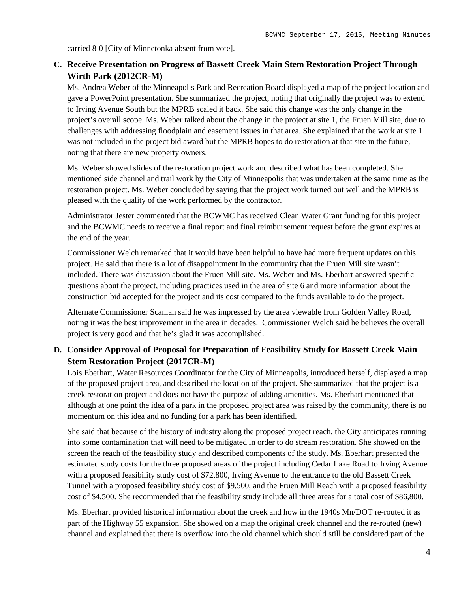carried 8-0 [City of Minnetonka absent from vote].

# **C. Receive Presentation on Progress of Bassett Creek Main Stem Restoration Project Through Wirth Park (2012CR-M)**

Ms. Andrea Weber of the Minneapolis Park and Recreation Board displayed a map of the project location and gave a PowerPoint presentation. She summarized the project, noting that originally the project was to extend to Irving Avenue South but the MPRB scaled it back. She said this change was the only change in the project's overall scope. Ms. Weber talked about the change in the project at site 1, the Fruen Mill site, due to challenges with addressing floodplain and easement issues in that area. She explained that the work at site 1 was not included in the project bid award but the MPRB hopes to do restoration at that site in the future, noting that there are new property owners.

Ms. Weber showed slides of the restoration project work and described what has been completed. She mentioned side channel and trail work by the City of Minneapolis that was undertaken at the same time as the restoration project. Ms. Weber concluded by saying that the project work turned out well and the MPRB is pleased with the quality of the work performed by the contractor.

Administrator Jester commented that the BCWMC has received Clean Water Grant funding for this project and the BCWMC needs to receive a final report and final reimbursement request before the grant expires at the end of the year.

Commissioner Welch remarked that it would have been helpful to have had more frequent updates on this project. He said that there is a lot of disappointment in the community that the Fruen Mill site wasn't included. There was discussion about the Fruen Mill site. Ms. Weber and Ms. Eberhart answered specific questions about the project, including practices used in the area of site 6 and more information about the construction bid accepted for the project and its cost compared to the funds available to do the project.

Alternate Commissioner Scanlan said he was impressed by the area viewable from Golden Valley Road, noting it was the best improvement in the area in decades. Commissioner Welch said he believes the overall project is very good and that he's glad it was accomplished.

# **D. Consider Approval of Proposal for Preparation of Feasibility Study for Bassett Creek Main Stem Restoration Project (2017CR-M)**

Lois Eberhart, Water Resources Coordinator for the City of Minneapolis, introduced herself, displayed a map of the proposed project area, and described the location of the project. She summarized that the project is a creek restoration project and does not have the purpose of adding amenities. Ms. Eberhart mentioned that although at one point the idea of a park in the proposed project area was raised by the community, there is no momentum on this idea and no funding for a park has been identified.

She said that because of the history of industry along the proposed project reach, the City anticipates running into some contamination that will need to be mitigated in order to do stream restoration. She showed on the screen the reach of the feasibility study and described components of the study. Ms. Eberhart presented the estimated study costs for the three proposed areas of the project including Cedar Lake Road to Irving Avenue with a proposed feasibility study cost of \$72,800, Irving Avenue to the entrance to the old Bassett Creek Tunnel with a proposed feasibility study cost of \$9,500, and the Fruen Mill Reach with a proposed feasibility cost of \$4,500. She recommended that the feasibility study include all three areas for a total cost of \$86,800.

Ms. Eberhart provided historical information about the creek and how in the 1940s Mn/DOT re-routed it as part of the Highway 55 expansion. She showed on a map the original creek channel and the re-routed (new) channel and explained that there is overflow into the old channel which should still be considered part of the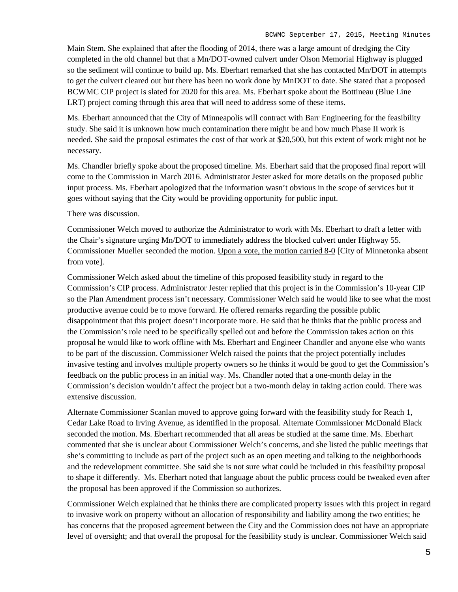Main Stem. She explained that after the flooding of 2014, there was a large amount of dredging the City completed in the old channel but that a Mn/DOT-owned culvert under Olson Memorial Highway is plugged so the sediment will continue to build up. Ms. Eberhart remarked that she has contacted Mn/DOT in attempts to get the culvert cleared out but there has been no work done by MnDOT to date. She stated that a proposed BCWMC CIP project is slated for 2020 for this area. Ms. Eberhart spoke about the Bottineau (Blue Line LRT) project coming through this area that will need to address some of these items.

Ms. Eberhart announced that the City of Minneapolis will contract with Barr Engineering for the feasibility study. She said it is unknown how much contamination there might be and how much Phase II work is needed. She said the proposal estimates the cost of that work at \$20,500, but this extent of work might not be necessary.

Ms. Chandler briefly spoke about the proposed timeline. Ms. Eberhart said that the proposed final report will come to the Commission in March 2016. Administrator Jester asked for more details on the proposed public input process. Ms. Eberhart apologized that the information wasn't obvious in the scope of services but it goes without saying that the City would be providing opportunity for public input.

There was discussion.

Commissioner Welch moved to authorize the Administrator to work with Ms. Eberhart to draft a letter with the Chair's signature urging Mn/DOT to immediately address the blocked culvert under Highway 55. Commissioner Mueller seconded the motion. Upon a vote, the motion carried 8-0 [City of Minnetonka absent from vote].

Commissioner Welch asked about the timeline of this proposed feasibility study in regard to the Commission's CIP process. Administrator Jester replied that this project is in the Commission's 10-year CIP so the Plan Amendment process isn't necessary. Commissioner Welch said he would like to see what the most productive avenue could be to move forward. He offered remarks regarding the possible public disappointment that this project doesn't incorporate more. He said that he thinks that the public process and the Commission's role need to be specifically spelled out and before the Commission takes action on this proposal he would like to work offline with Ms. Eberhart and Engineer Chandler and anyone else who wants to be part of the discussion. Commissioner Welch raised the points that the project potentially includes invasive testing and involves multiple property owners so he thinks it would be good to get the Commission's feedback on the public process in an initial way. Ms. Chandler noted that a one-month delay in the Commission's decision wouldn't affect the project but a two-month delay in taking action could. There was extensive discussion.

Alternate Commissioner Scanlan moved to approve going forward with the feasibility study for Reach 1, Cedar Lake Road to Irving Avenue, as identified in the proposal. Alternate Commissioner McDonald Black seconded the motion. Ms. Eberhart recommended that all areas be studied at the same time. Ms. Eberhart commented that she is unclear about Commissioner Welch's concerns, and she listed the public meetings that she's committing to include as part of the project such as an open meeting and talking to the neighborhoods and the redevelopment committee. She said she is not sure what could be included in this feasibility proposal to shape it differently. Ms. Eberhart noted that language about the public process could be tweaked even after the proposal has been approved if the Commission so authorizes.

Commissioner Welch explained that he thinks there are complicated property issues with this project in regard to invasive work on property without an allocation of responsibility and liability among the two entities; he has concerns that the proposed agreement between the City and the Commission does not have an appropriate level of oversight; and that overall the proposal for the feasibility study is unclear. Commissioner Welch said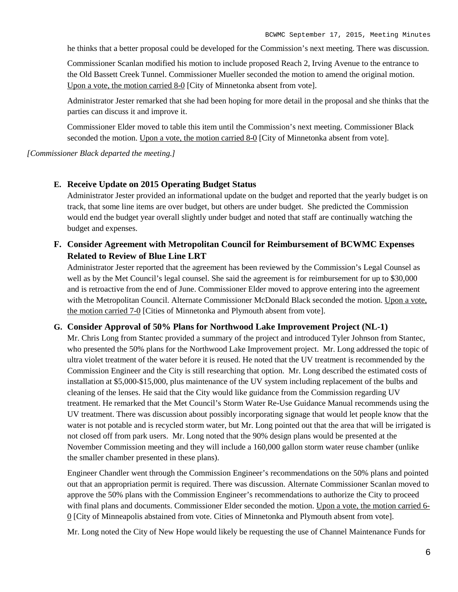he thinks that a better proposal could be developed for the Commission's next meeting. There was discussion.

Commissioner Scanlan modified his motion to include proposed Reach 2, Irving Avenue to the entrance to the Old Bassett Creek Tunnel. Commissioner Mueller seconded the motion to amend the original motion. Upon a vote, the motion carried 8-0 [City of Minnetonka absent from vote].

Administrator Jester remarked that she had been hoping for more detail in the proposal and she thinks that the parties can discuss it and improve it.

Commissioner Elder moved to table this item until the Commission's next meeting. Commissioner Black seconded the motion. Upon a vote, the motion carried 8-0 [City of Minnetonka absent from vote].

*[Commissioner Black departed the meeting.]*

#### **E. Receive Update on 2015 Operating Budget Status**

Administrator Jester provided an informational update on the budget and reported that the yearly budget is on track, that some line items are over budget, but others are under budget. She predicted the Commission would end the budget year overall slightly under budget and noted that staff are continually watching the budget and expenses.

# **F. Consider Agreement with Metropolitan Council for Reimbursement of BCWMC Expenses Related to Review of Blue Line LRT**

Administrator Jester reported that the agreement has been reviewed by the Commission's Legal Counsel as well as by the Met Council's legal counsel. She said the agreement is for reimbursement for up to \$30,000 and is retroactive from the end of June. Commissioner Elder moved to approve entering into the agreement with the Metropolitan Council. Alternate Commissioner McDonald Black seconded the motion. Upon a vote, the motion carried 7-0 [Cities of Minnetonka and Plymouth absent from vote].

#### **G. Consider Approval of 50% Plans for Northwood Lake Improvement Project (NL-1)**

Mr. Chris Long from Stantec provided a summary of the project and introduced Tyler Johnson from Stantec, who presented the 50% plans for the Northwood Lake Improvement project. Mr. Long addressed the topic of ultra violet treatment of the water before it is reused. He noted that the UV treatment is recommended by the Commission Engineer and the City is still researching that option. Mr. Long described the estimated costs of installation at \$5,000-\$15,000, plus maintenance of the UV system including replacement of the bulbs and cleaning of the lenses. He said that the City would like guidance from the Commission regarding UV treatment. He remarked that the Met Council's Storm Water Re-Use Guidance Manual recommends using the UV treatment. There was discussion about possibly incorporating signage that would let people know that the water is not potable and is recycled storm water, but Mr. Long pointed out that the area that will be irrigated is not closed off from park users. Mr. Long noted that the 90% design plans would be presented at the November Commission meeting and they will include a 160,000 gallon storm water reuse chamber (unlike the smaller chamber presented in these plans).

Engineer Chandler went through the Commission Engineer's recommendations on the 50% plans and pointed out that an appropriation permit is required. There was discussion. Alternate Commissioner Scanlan moved to approve the 50% plans with the Commission Engineer's recommendations to authorize the City to proceed with final plans and documents. Commissioner Elder seconded the motion. Upon a vote, the motion carried 6-0 [City of Minneapolis abstained from vote. Cities of Minnetonka and Plymouth absent from vote].

Mr. Long noted the City of New Hope would likely be requesting the use of Channel Maintenance Funds for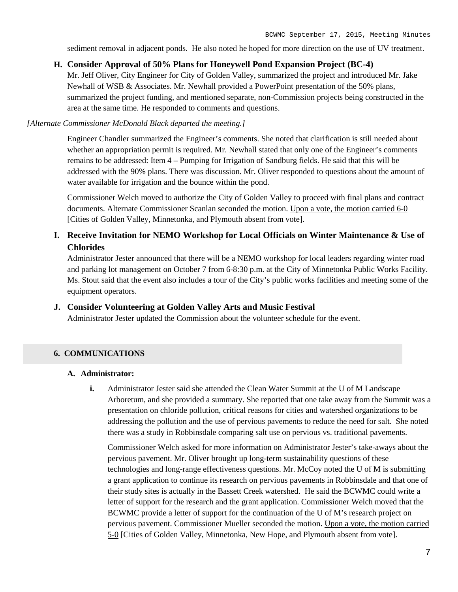sediment removal in adjacent ponds. He also noted he hoped for more direction on the use of UV treatment.

### **H. Consider Approval of 50% Plans for Honeywell Pond Expansion Project (BC-4)**

Mr. Jeff Oliver, City Engineer for City of Golden Valley, summarized the project and introduced Mr. Jake Newhall of WSB & Associates. Mr. Newhall provided a PowerPoint presentation of the 50% plans, summarized the project funding, and mentioned separate, non-Commission projects being constructed in the area at the same time. He responded to comments and questions.

#### *[Alternate Commissioner McDonald Black departed the meeting.]*

Engineer Chandler summarized the Engineer's comments. She noted that clarification is still needed about whether an appropriation permit is required. Mr. Newhall stated that only one of the Engineer's comments remains to be addressed: Item 4 – Pumping for Irrigation of Sandburg fields. He said that this will be addressed with the 90% plans. There was discussion. Mr. Oliver responded to questions about the amount of water available for irrigation and the bounce within the pond.

Commissioner Welch moved to authorize the City of Golden Valley to proceed with final plans and contract documents. Alternate Commissioner Scanlan seconded the motion. Upon a vote, the motion carried 6-0 [Cities of Golden Valley, Minnetonka, and Plymouth absent from vote].

# **I. Receive Invitation for NEMO Workshop for Local Officials on Winter Maintenance & Use of Chlorides**

Administrator Jester announced that there will be a NEMO workshop for local leaders regarding winter road and parking lot management on October 7 from 6-8:30 p.m. at the City of Minnetonka Public Works Facility. Ms. Stout said that the event also includes a tour of the City's public works facilities and meeting some of the equipment operators.

#### **J. Consider Volunteering at Golden Valley Arts and Music Festival**

Administrator Jester updated the Commission about the volunteer schedule for the event.

#### **6. COMMUNICATIONS**

#### **A. Administrator:**

**i.** Administrator Jester said she attended the Clean Water Summit at the U of M Landscape Arboretum, and she provided a summary. She reported that one take away from the Summit was a presentation on chloride pollution, critical reasons for cities and watershed organizations to be addressing the pollution and the use of pervious pavements to reduce the need for salt. She noted there was a study in Robbinsdale comparing salt use on pervious vs. traditional pavements.

Commissioner Welch asked for more information on Administrator Jester's take-aways about the pervious pavement. Mr. Oliver brought up long-term sustainability questions of these technologies and long-range effectiveness questions. Mr. McCoy noted the U of M is submitting a grant application to continue its research on pervious pavements in Robbinsdale and that one of their study sites is actually in the Bassett Creek watershed. He said the BCWMC could write a letter of support for the research and the grant application. Commissioner Welch moved that the BCWMC provide a letter of support for the continuation of the U of M's research project on pervious pavement. Commissioner Mueller seconded the motion. Upon a vote, the motion carried 5-0 [Cities of Golden Valley, Minnetonka, New Hope, and Plymouth absent from vote].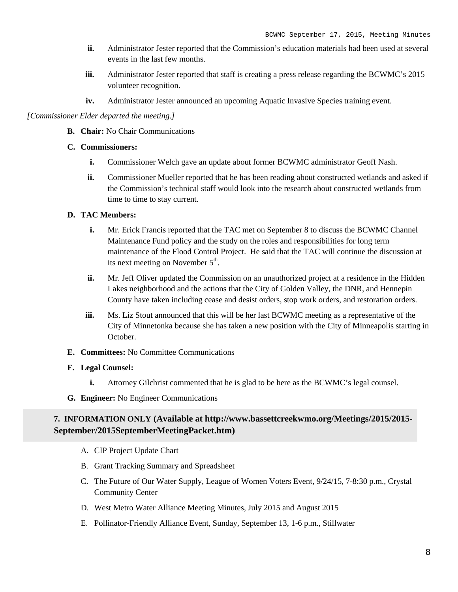- **ii.** Administrator Jester reported that the Commission's education materials had been used at several events in the last few months.
- **iii.** Administrator Jester reported that staff is creating a press release regarding the BCWMC's 2015 volunteer recognition.
- **iv.** Administrator Jester announced an upcoming Aquatic Invasive Species training event.

#### *[Commissioner Elder departed the meeting.]*

**B. Chair:** No Chair Communications

#### **C. Commissioners:**

- **i.** Commissioner Welch gave an update about former BCWMC administrator Geoff Nash.
- **ii.** Commissioner Mueller reported that he has been reading about constructed wetlands and asked if the Commission's technical staff would look into the research about constructed wetlands from time to time to stay current.

#### **D. TAC Members:**

- **i.** Mr. Erick Francis reported that the TAC met on September 8 to discuss the BCWMC Channel Maintenance Fund policy and the study on the roles and responsibilities for long term maintenance of the Flood Control Project. He said that the TAC will continue the discussion at its next meeting on November  $5<sup>th</sup>$ .
- **ii.** Mr. Jeff Oliver updated the Commission on an unauthorized project at a residence in the Hidden Lakes neighborhood and the actions that the City of Golden Valley, the DNR, and Hennepin County have taken including cease and desist orders, stop work orders, and restoration orders.
- **iii.** Ms. Liz Stout announced that this will be her last BCWMC meeting as a representative of the City of Minnetonka because she has taken a new position with the City of Minneapolis starting in October.
- **E. Committees:** No Committee Communications

#### **F. Legal Counsel:**

- **i.** Attorney Gilchrist commented that he is glad to be here as the BCWMC's legal counsel.
- **G. Engineer:** No Engineer Communications

### **7. INFORMATION ONLY (Available at http://www.bassettcreekwmo.org/Meetings/2015/2015- September/2015SeptemberMeetingPacket.htm)**

- A. CIP Project Update Chart
- B. Grant Tracking Summary and Spreadsheet
- C. The Future of Our Water Supply, League of Women Voters Event, 9/24/15, 7-8:30 p.m., Crystal Community Center
- D. West Metro Water Alliance Meeting Minutes, July 2015 and August 2015
- E. Pollinator-Friendly Alliance Event, Sunday, September 13, 1-6 p.m., Stillwater